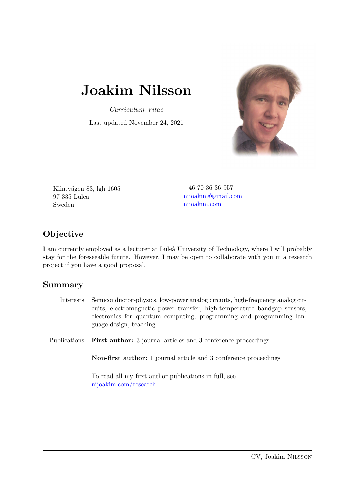# Joakim Nilsson

Curriculum Vitae

Last updated November 24, 2021



Klintvägen 83, lgh 1605 97 335 Luleå Sweden

+46 70 36 36 957 [nijoakim@gmail.com](mailto:nijoakim@gmail.com) [nijoakim.com](http://nijoakim.com)

## Objective

I am currently employed as a lecturer at Luleå University of Technology, where I will probably stay for the foreseeable future. However, I may be open to collaborate with you in a research project if you have a good proposal.

### Summary

| Interests    | Semiconductor-physics, low-power analog circuits, high-frequency analog cir-<br>cuits, electromagnetic power transfer, high-temperature bandgap sensors,<br>electronics for quantum computing, programming and programming lan-<br>guage design, teaching |
|--------------|-----------------------------------------------------------------------------------------------------------------------------------------------------------------------------------------------------------------------------------------------------------|
| Publications | <b>First author:</b> 3 journal articles and 3 conference proceedings                                                                                                                                                                                      |
|              | <b>Non-first author:</b> 1 journal article and 3 conference proceedings                                                                                                                                                                                   |
|              | To read all my first-author publications in full, see<br>nijoakim.com/research.                                                                                                                                                                           |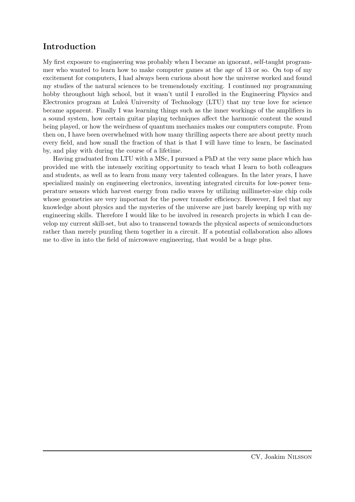#### Introduction

My first exposure to engineering was probably when I became an ignorant, self-taught programmer who wanted to learn how to make computer games at the age of 13 or so. On top of my excitement for computers, I had always been curious about how the universe worked and found my studies of the natural sciences to be tremendously exciting. I continued my programming hobby throughout high school, but it wasn't until I enrolled in the Engineering Physics and Electronics program at Luleå University of Technology (LTU) that my true love for science became apparent. Finally I was learning things such as the inner workings of the amplifiers in a sound system, how certain guitar playing techniques affect the harmonic content the sound being played, or how the weirdness of quantum mechanics makes our computers compute. From then on, I have been overwhelmed with how many thrilling aspects there are about pretty much every field, and how small the fraction of that is that I will have time to learn, be fascinated by, and play with during the course of a lifetime.

Having graduated from LTU with a MSc, I pursued a PhD at the very same place which has provided me with the intensely exciting opportunity to teach what I learn to both colleagues and students, as well as to learn from many very talented colleagues. In the later years, I have specialized mainly on engineering electronics, inventing integrated circuits for low-power temperature sensors which harvest energy from radio waves by utilizing millimeter-size chip coils whose geometries are very important for the power transfer efficiency. However, I feel that my knowledge about physics and the mysteries of the universe are just barely keeping up with my engineering skills. Therefore I would like to be involved in research projects in which I can develop my current skill-set, but also to transcend towards the physical aspects of semiconductors rather than merely puzzling them together in a circuit. If a potential collaboration also allows me to dive in into the field of microwave engineering, that would be a huge plus.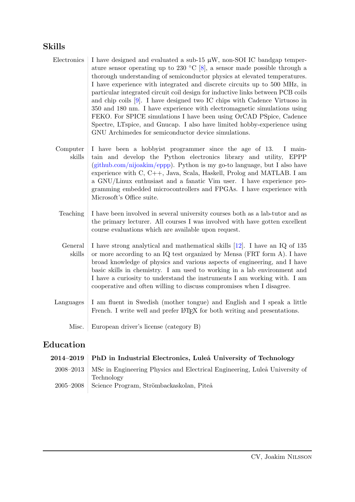#### Skills

- Electronics I have designed and evaluated a sub-15  $\mu$ W, non-SOI IC bandgap temper-ature sensor operating up to 230 °C [\[8\]](#page-7-0), a sensor made possible through a thorough understanding of semiconductor physics at elevated temperatures. I have experience with integrated and discrete circuits up to 500 MHz, in particular integrated circuit coil design for inductive links between PCB coils and chip coils [\[9\]](#page-7-1). I have designed two IC chips with Cadence Virtuoso in 350 and 180 nm. I have experience with electromagnetic simulations using FEKO. For SPICE simulations I have been using OrCAD PSpice, Cadence Spectre, LTspice, and Gnucap. I also have limited hobby-experience using GNU Archimedes for semiconductor device simulations.
- Computer skills I have been a hobbyist programmer since the age of 13. I maintain and develop the Python electronics library and utility, EPPP [\(github.com/nijoakim/eppp\)](http://github.com/nijoakim/eppp). Python is my go-to language, but I also have experience with C, C++, Java, Scala, Haskell, Prolog and MATLAB. I am a GNU/Linux enthusiast and a fanatic Vim user. I have experience programming embedded microcontrollers and FPGAs. I have experience with Microsoft's Office suite.
- Teaching I have been involved in several university courses both as a lab-tutor and as the primary lecturer. All courses I was involved with have gotten excellent course evaluations which are available upon request.
- General skills I have strong analytical and mathematical skills [\[12\]](#page-7-2). I have an IQ of 135 or more according to an IQ test organized by Mensa (FRT form A). I have broad knowledge of physics and various aspects of engineering, and I have basic skills in chemistry. I am used to working in a lab environment and I have a curiosity to understand the instruments I am working with. I am cooperative and often willing to discuss compromises when I disagree.
- Languages I am fluent in Swedish (mother tongue) and English and I speak a little French. I write well and prefer LATEX for both writing and presentations.
	- Misc. European driver's license (category B)

### Education

|               | 2014–2019   PhD in Industrial Electronics, Luleå University of Technology              |
|---------------|----------------------------------------------------------------------------------------|
|               | 2008–2013   MSc in Engineering Physics and Electrical Engineering, Luleå University of |
|               | Technology                                                                             |
| $2005 - 2008$ | Science Program, Strömbackaskolan, Piteå                                               |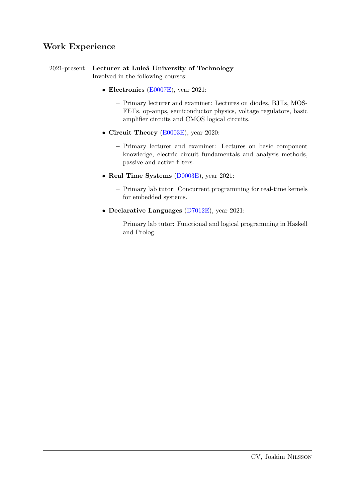## Work Experience

| 2021-present   Lecturer at Luleå University of Technology |
|-----------------------------------------------------------|
| Involved in the following courses:                        |

- Electronics [\(E0007E\)](https://www.ltu.se/edu/course/E00/E0007E/E0007E-Elektronik-1.67874?l=en&kursView=kursplan), year 2021:
	- Primary lecturer and examiner: Lectures on diodes, BJTs, MOS-FETs, op-amps, semiconductor physics, voltage regulators, basic amplifier circuits and CMOS logical circuits.
- Circuit Theory [\(E0003E\)](https://www.ltu.se/edu/course/E00/E0003E/E0003E-Elkretsteori-1.67857?l=en&kursView=kursplan), year 2020:
	- Primary lecturer and examiner: Lectures on basic component knowledge, electric circuit fundamentals and analysis methods, passive and active filters.
- Real Time Systems [\(D0003E\)](https://www.ltu.se/edu/course/D00/D0003E/D0003E-Realtidssystem-1.67663?l=en&kursView=kursplan), year 2021:
	- Primary lab tutor: Concurrent programming for real-time kernels for embedded systems.
- Declarative Languages [\(D7012E\)](https://www.ltu.se/edu/course/D70/D7012E/D7012E-Deklarativa-sprak-1.67833?l=en&kursView=kursplan), year 2021:
	- Primary lab tutor: Functional and logical programming in Haskell and Prolog.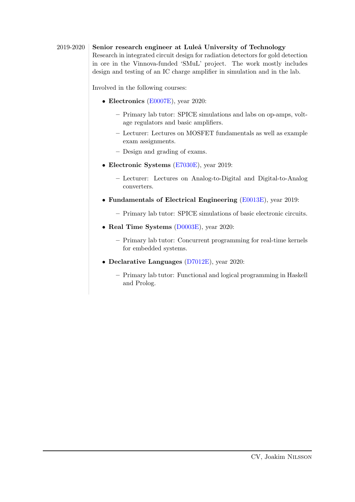#### 2019-2020 Senior research engineer at Luleå University of Technology

Research in integrated circuit design for radiation detectors for gold detection in ore in the Vinnova-funded 'SMuL' project. The work mostly includes design and testing of an IC charge amplifier in simulation and in the lab.

Involved in the following courses:

- Electronics [\(E0007E\)](https://www.ltu.se/edu/course/E00/E0007E/E0007E-Elektronik-1.67874?l=en&kursView=kursplan), year 2020:
	- Primary lab tutor: SPICE simulations and labs on op-amps, voltage regulators and basic amplifiers.
	- Lecturer: Lectures on MOSFET fundamentals as well as example exam assignments.
	- Design and grading of exams.
- Electronic Systems [\(E7030E\)](https://www.ltu.se/edu/course/E70/E7030E/E7030E-Elektroniksystem-1.160882?l=en&kursView=kursplan), year 2019:
	- Lecturer: Lectures on Analog-to-Digital and Digital-to-Analog converters.
- Fundamentals of Electrical Engineering [\(E0013E\)](https://www.ltu.se/edu/course/E00/E0013E/E0013E-Grundkurs-i-elektroteknik-1.67890?l=en&kursView=kursplan), year 2019:
	- Primary lab tutor: SPICE simulations of basic electronic circuits.
- Real Time Systems [\(D0003E\)](https://www.ltu.se/edu/course/D00/D0003E/D0003E-Realtidssystem-1.67663?l=en&kursView=kursplan), year 2020:
	- Primary lab tutor: Concurrent programming for real-time kernels for embedded systems.
- Declarative Languages [\(D7012E\)](https://www.ltu.se/edu/course/D70/D7012E/D7012E-Deklarativa-sprak-1.67833?l=en&kursView=kursplan), year 2020:
	- Primary lab tutor: Functional and logical programming in Haskell and Prolog.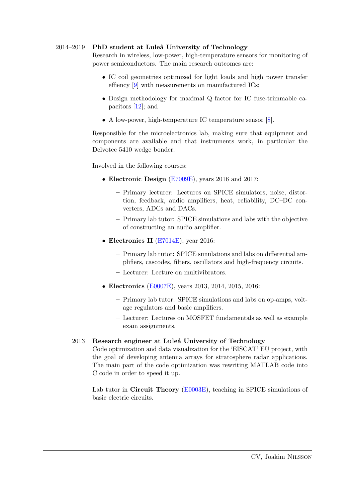#### $2014-2019$  PhD student at Luleå University of Technology

Research in wireless, low-power, high-temperature sensors for monitoring of power semiconductors. The main research outcomes are:

- IC coil geometries optimized for light loads and high power transfer effiency [\[9\]](#page-7-1) with measurements on manufactured ICs;
- Design methodology for maximal Q factor for IC fuse-trimmable capacitors [\[12\]](#page-7-2); and
- A low-power, high-temperature IC temperature sensor [\[8\]](#page-7-0).

Responsible for the microelectronics lab, making sure that equipment and components are available and that instruments work, in particular the Delvotec 5410 wedge bonder.

Involved in the following courses:

- Electronic Design [\(E7009E\)](https://www.ltu.se/edu/course/E70/E7009E/E7009E-Elektronikkonstruktion-1.67921?kursView=kursplan&l=en), years 2016 and 2017:
	- Primary lecturer: Lectures on SPICE simulators, noise, distortion, feedback, audio amplifiers, heat, reliability, DC–DC converters, ADCs and DACs.
	- Primary lab tutor: SPICE simulations and labs with the objective of constructing an audio amplifier.
- Electronics II [\(E7014E\)](https://www.ltu.se/edu/course/E70/E7014E/E7014E-Elektronik-II-1.67923?kursView=kursplan&l=en), year 2016:
	- Primary lab tutor: SPICE simulations and labs on differential amplifiers, cascodes, filters, oscillators and high-frequency circuits.
	- Lecturer: Lecture on multivibrators.
- Electronics [\(E0007E\)](https://www.ltu.se/edu/course/E00/E0007E/E0007E-Elektronik-1.67874?l=en&kursView=kursplan), years 2013, 2014, 2015, 2016:
	- Primary lab tutor: SPICE simulations and labs on op-amps, voltage regulators and basic amplifiers.
	- Lecturer: Lectures on MOSFET fundamentals as well as example exam assignments.

#### 2013 Research engineer at Luleå University of Technology

Code optimization and data visualization for the 'EISCAT' EU project, with the goal of developing antenna arrays for stratosphere radar applications. The main part of the code optimization was rewriting MATLAB code into C code in order to speed it up.

Lab tutor in Circuit Theory [\(E0003E\)](https://www.ltu.se/edu/course/E00/E0003E/E0003E-Elkretsteori-1.67857?kursView=kursplan&l=en), teaching in SPICE simulations of basic electric circuits.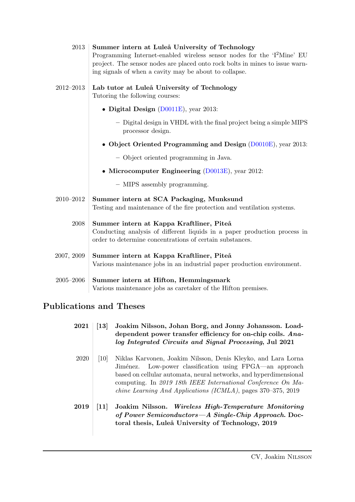| 2013          | Summer intern at Luleå University of Technology<br>Programming Internet-enabled wireless sensor nodes for the 'I <sup>2</sup> Mine' EU<br>project. The sensor nodes are placed onto rock bolts in mines to issue warn-<br>ing signals of when a cavity may be about to collapse. |
|---------------|----------------------------------------------------------------------------------------------------------------------------------------------------------------------------------------------------------------------------------------------------------------------------------|
| 2012-2013     | Lab tutor at Luleå University of Technology<br>Tutoring the following courses:                                                                                                                                                                                                   |
|               | • Digital Design $(D0011E)$ , year 2013:                                                                                                                                                                                                                                         |
|               | - Digital design in VHDL with the final project being a simple MIPS<br>processor design.                                                                                                                                                                                         |
|               | • Object Oriented Programming and Design (D0010E), year 2013:                                                                                                                                                                                                                    |
|               | - Object oriented programming in Java.                                                                                                                                                                                                                                           |
|               | • Microcomputer Engineering $(D0013E)$ , year 2012:                                                                                                                                                                                                                              |
|               | - MIPS assembly programming.                                                                                                                                                                                                                                                     |
| 2010-2012     | Summer intern at SCA Packaging, Munksund<br>Testing and maintenance of the fire protection and ventilation systems.                                                                                                                                                              |
| 2008          | Summer intern at Kappa Kraftliner, Piteå<br>Conducting analysis of different liquids in a paper production process in<br>order to determine concentrations of certain substances.                                                                                                |
| 2007, 2009    | Summer intern at Kappa Kraftliner, Piteå<br>Various maintenance jobs in an industrial paper production environment.                                                                                                                                                              |
| $2005 - 2006$ | Summer intern at Hifton, Hemmingsmark<br>Various maintenance jobs as caretaker of the Hifton premises.                                                                                                                                                                           |

## Publications and Theses

<span id="page-6-2"></span><span id="page-6-1"></span><span id="page-6-0"></span>

| 2021 | $\left\lceil 13\right\rceil$ | Joakim Nilsson, Johan Borg, and Jonny Johansson. Load-<br>dependent power transfer efficiency for on-chip coils. Ana-<br>log Integrated Circuits and Signal Processing, Jul 2021                                                                                                                                                  |
|------|------------------------------|-----------------------------------------------------------------------------------------------------------------------------------------------------------------------------------------------------------------------------------------------------------------------------------------------------------------------------------|
| 2020 | $\left[10\right]$            | Niklas Karvonen, Joakim Nilsson, Denis Kleyko, and Lara Lorna<br>Low-power classification using FPGA—an approach<br>Jiménez.<br>based on cellular automata, neural networks, and hyperdimensional<br>computing. In 2019 18th IEEE International Conference On Ma-<br>chine Learning And Applications (ICMLA), pages 370-375, 2019 |
| 2019 | 11                           | Wireless High-Temperature Monitoring<br>Joakim Nilsson.<br>of Power Semiconductors—A Single-Chip Approach. Doc-<br>toral thesis, Luleå University of Technology, 2019                                                                                                                                                             |